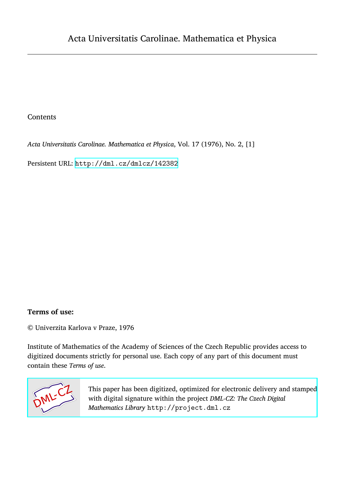## Contents

*Acta Universitatis Carolinae. Mathematica et Physica*, Vol. 17 (1976), No. 2, [1]

Persistent URL: <http://dml.cz/dmlcz/142382>

## **Terms of use:**

© Univerzita Karlova v Praze, 1976

Institute of Mathematics of the Academy of Sciences of the Czech Republic provides access to digitized documents strictly for personal use. Each copy of any part of this document must contain these *Terms of use*.



[This paper has been digitized, optimized for electronic delivery and stamped](http://project.dml.cz) with digital signature within the project *DML-CZ: The Czech Digital Mathematics Library* http://project.dml.cz